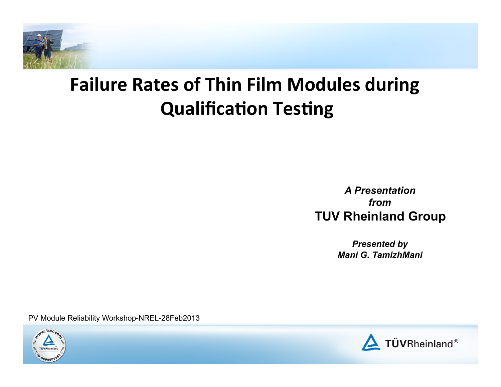

# **Failure Rates of Thin Film Modules during Qualification Testing**

 *A Presentation from*  **TUV Rheinland Group** 

> *Presented by Mani G. TamizhMani*

PV Module Reliability Workshop-NREL-28Feb2013



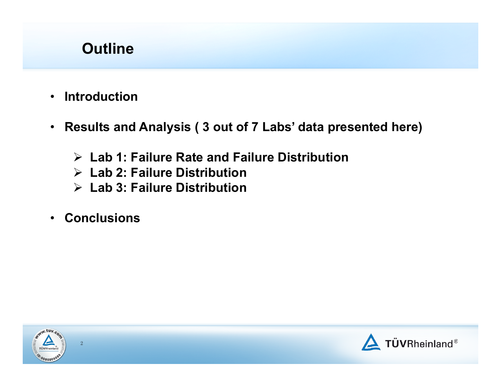# **Outline**

- **Introduction**
- **Results and Analysis ( 3 out of 7 Labs' data presented here)** 
	- **Lab 1: Failure Rate and Failure Distribution**
	- **Lab 2: Failure Distribution**
	- **Lab 3: Failure Distribution**
- **Conclusions**



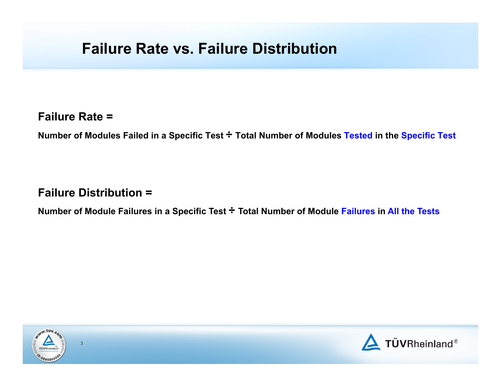## **Failure Rate vs. Failure Distribution**

#### **Failure Rate =**

 **Number of Modules Failed in a Specific Test ÷ Total Number of Modules Tested in the Specific Test** 

#### **Failure Distribution =**

 **Number of Module Failures in a Specific Test ÷ Total Number of Module Failures in All the Tests**



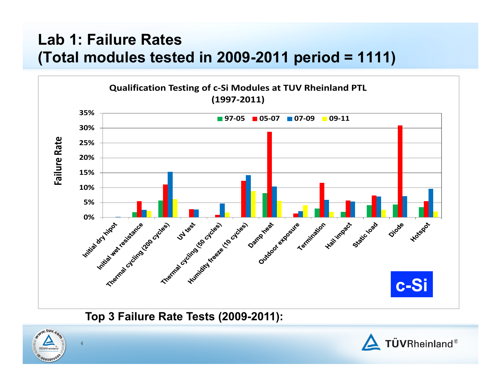# **Lab 1: Failure Rates (Total modules tested in 2009-2011 period = 1111)**



 **Top 3 Failure Rate Tests (2009-2011):** 



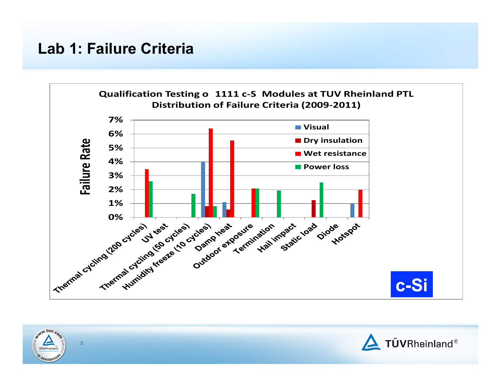## **Lab 1: Failure Criteria**



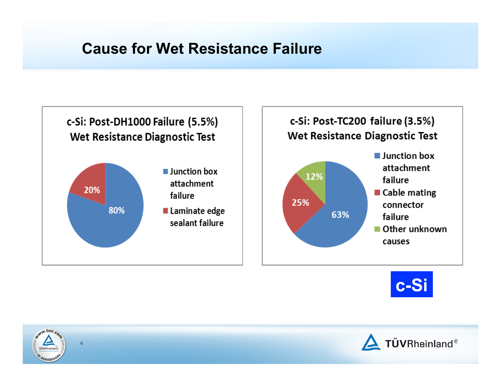## **Cause for Wet Resistance Failure**







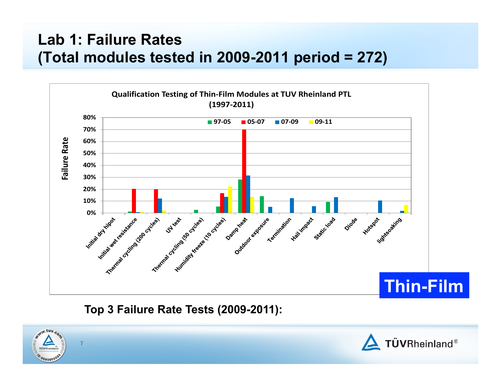# **Lab 1: Failure Rates (Total modules tested in 2009-2011 period = 272)**



### **Top 3 Failure Rate Tests (2009-2011):**



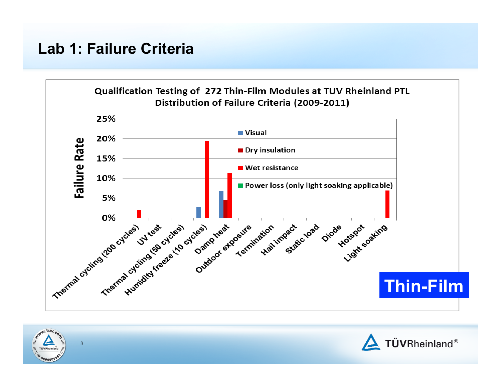## **Lab 1: Failure Criteria**





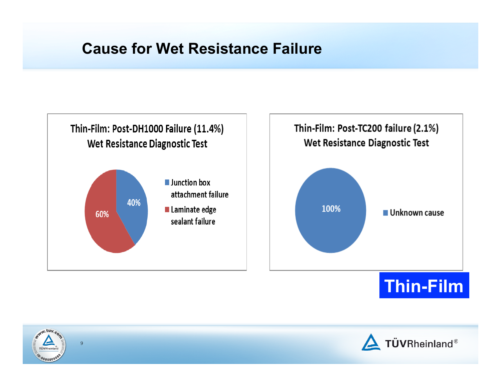## **Cause for Wet Resistance Failure**





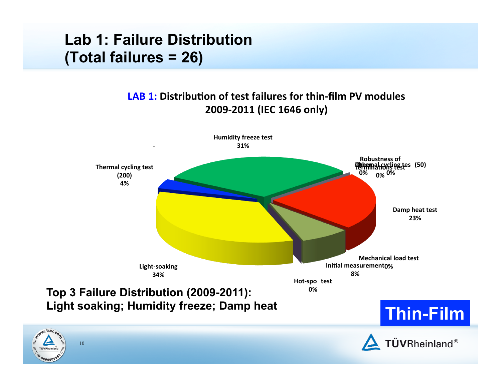# **Lab 1: Failure Distribution (Total failures = 26)**

TÜVRI

#### **LAB 1:** Distribution of test failures for thin-film PV modules **2009-‐2011 (IEC 1646 only)**

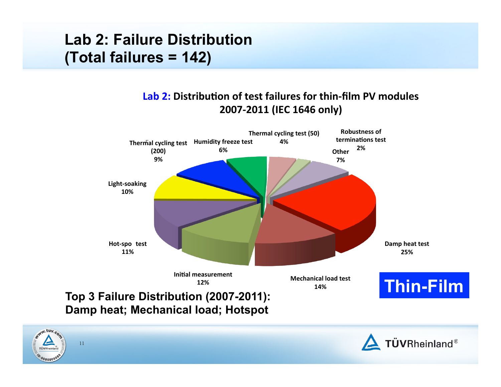# **Lab 2: Failure Distribution (Total failures = 142)**

#### **Lab 2: Distribution of test failures for thin-film PV modules 2007-‐2011 (IEC 1646 only)**



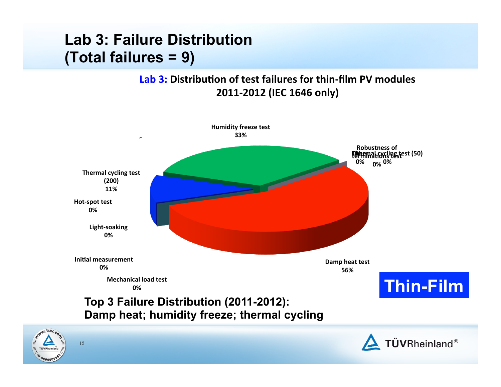# **Lab 3: Failure Distribution (Total failures = 9)**

 $00000$ 

#### **Lab 3: Distribution of test failures for thin-film PV modules 2011-‐2012 (IEC 1646 only)**

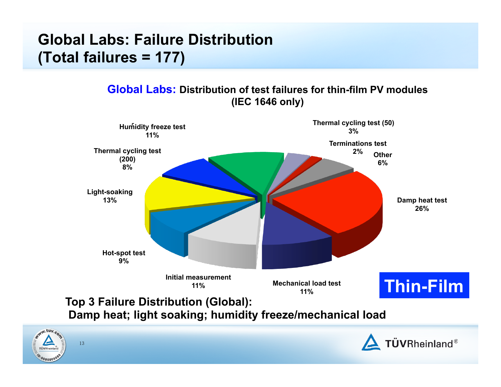# **(Total failures = 177) Global Labs: Failure Distribution**

13

WW.tuv.c

TÜVRI  $^{1000000}$   **Global Labs: Distribution of test failures for thin-film PV modules (IEC 1646 only)** 



 **Damp heat; light soaking; humidity freeze/mechanical load** 

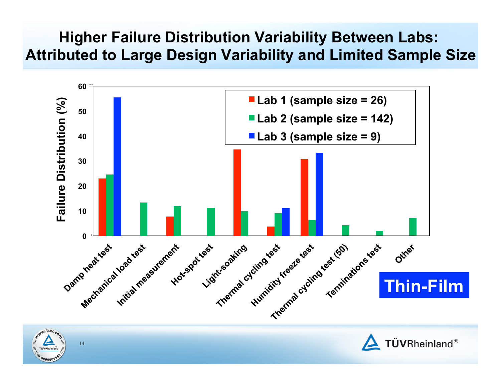## **Higher Failure Distribution Variability Between Labs: Attributed to Large Design Variability and Limited Sample Size**